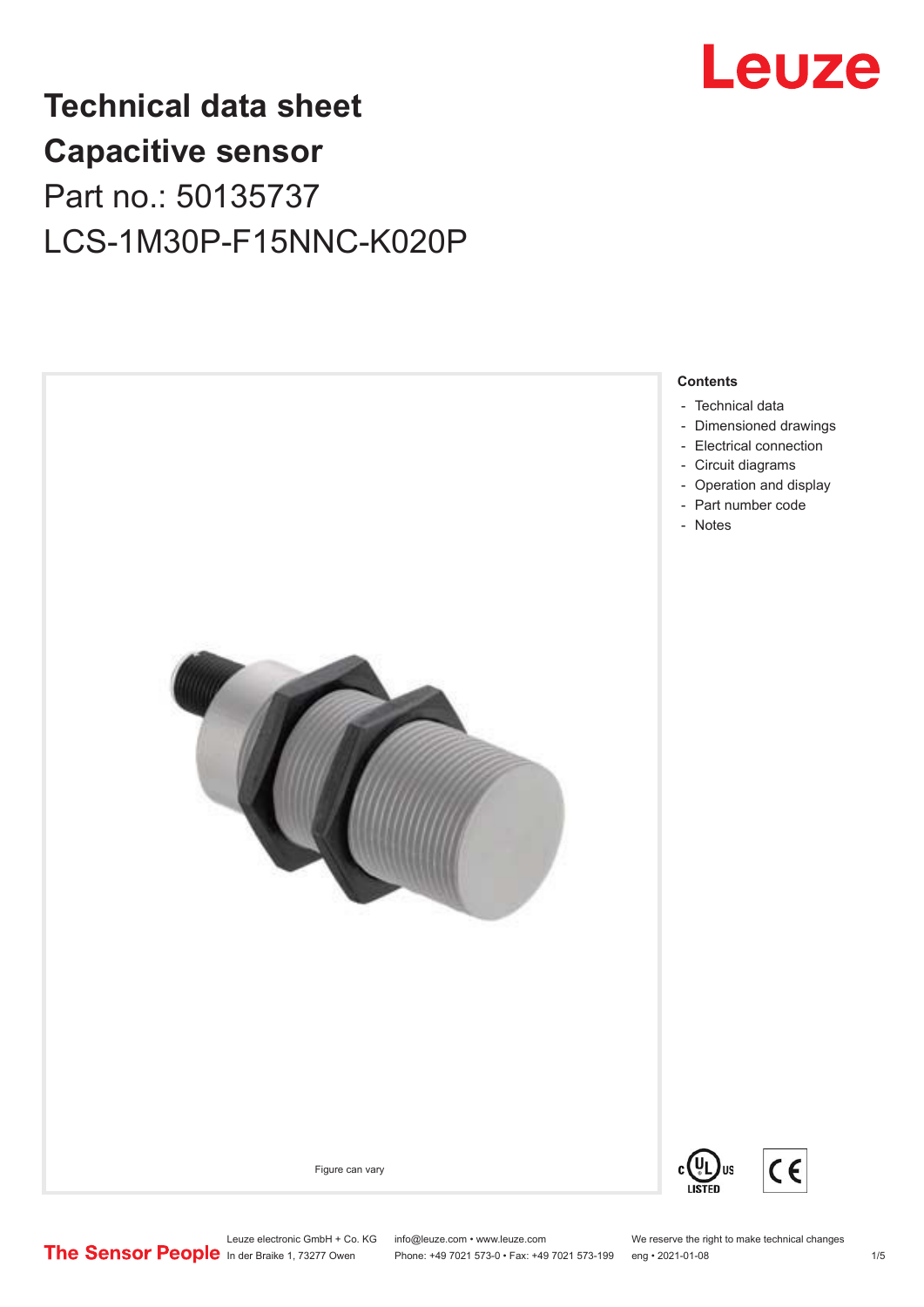

**Contents**

## **Technical data sheet Capacitive sensor** Part no.: 50135737 LCS-1M30P-F15NNC-K020P



Figure can vary

![](_page_0_Picture_4.jpeg)

Leuze electronic GmbH + Co. KG info@leuze.com • www.leuze.com We reserve the right to make technical changes<br> **The Sensor People** in der Braike 1, 73277 Owen Phone: +49 7021 573-0 • Fax: +49 7021 573-199 eng • 2021-01-08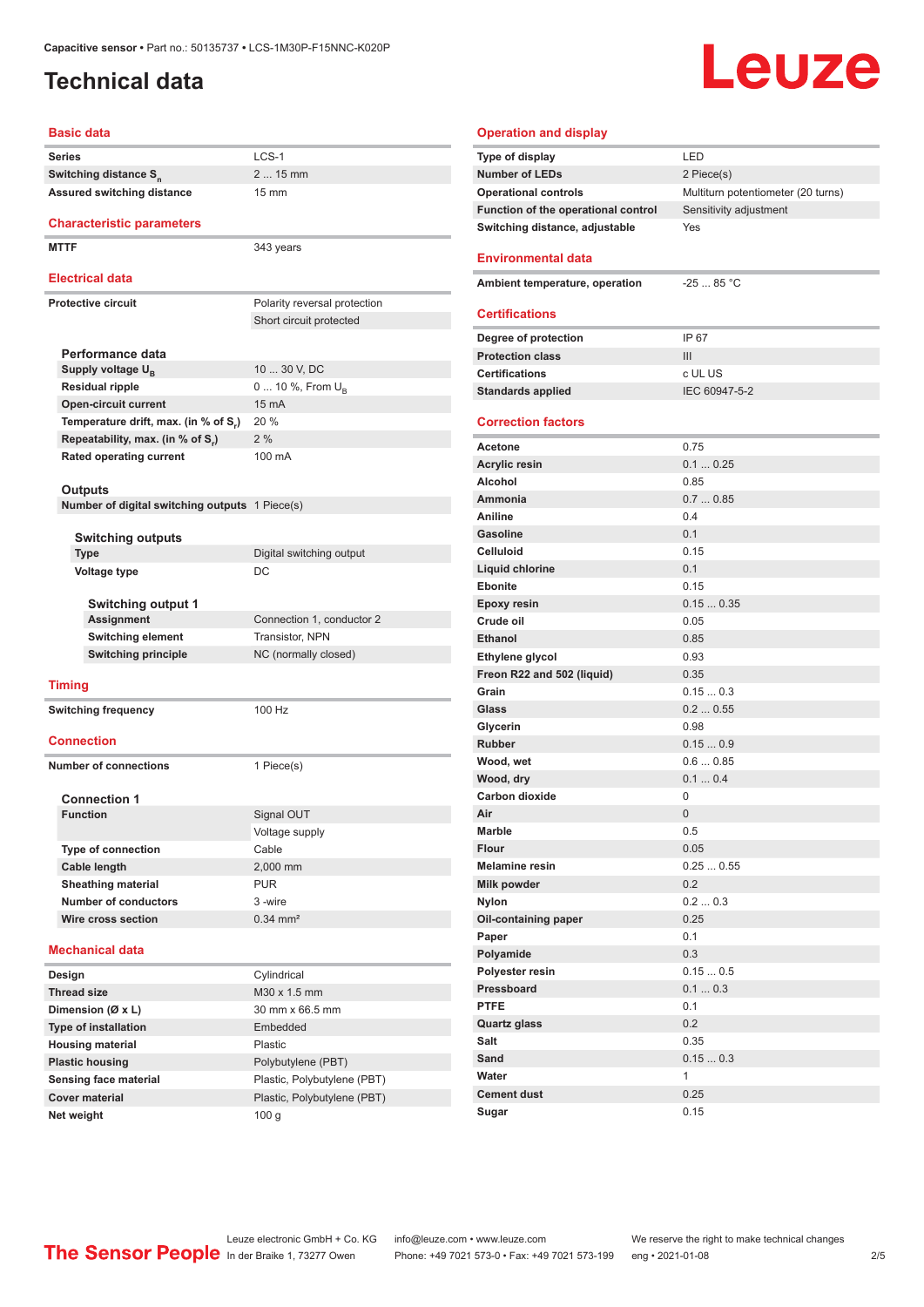### <span id="page-1-0"></span>**Technical data**

# **Leuze**

#### **Basic data**

| <b>Series</b>                                  | LCS-1                        |
|------------------------------------------------|------------------------------|
| Switching distance S <sub>n</sub>              | 2  15 mm                     |
| Assured switching distance                     | $15 \text{ mm}$              |
| <b>Characteristic parameters</b>               |                              |
| <b>MTTF</b>                                    | 343 years                    |
| <b>Electrical data</b>                         |                              |
| <b>Protective circuit</b>                      | Polarity reversal protection |
|                                                | Short circuit protected      |
|                                                |                              |
| Performance data                               |                              |
| Supply voltage U <sub>B</sub>                  | 10  30 V, DC                 |
| <b>Residual ripple</b>                         | 0  10 %, From $U_{\rm B}$    |
| <b>Open-circuit current</b>                    | 15 mA                        |
| Temperature drift, max. (in % of S.)           | 20 %                         |
| Repeatability, max. (in % of S.)               | 2%                           |
| <b>Rated operating current</b>                 | 100 mA                       |
|                                                |                              |
| Outputs                                        |                              |
| Number of digital switching outputs 1 Piece(s) |                              |
| Switching outputs                              |                              |
| <b>Type</b>                                    | Digital switching output     |
| <b>Voltage type</b>                            | DC                           |
|                                                |                              |
| <b>Switching output 1</b>                      |                              |
| <b>Assignment</b>                              | Connection 1, conductor 2    |
| Switching element                              | Transistor, NPN              |
| <b>Switching principle</b>                     | NC (normally closed)         |
| <b>Timing</b>                                  |                              |
|                                                | 100 Hz                       |
| <b>Switching frequency</b>                     |                              |
| <b>Connection</b>                              |                              |
| <b>Number of connections</b>                   |                              |
|                                                | 1 Piece(s)                   |
| <b>Connection 1</b>                            |                              |
| <b>Function</b>                                | Signal OUT                   |
|                                                | Voltage supply               |
| <b>Type of connection</b>                      | Cable                        |
| Cable length                                   | 2,000 mm                     |
| <b>Sheathing material</b>                      | <b>PUR</b>                   |
| <b>Number of conductors</b>                    | 3 -wire                      |
| Wire cross section                             | $0.34 \, \text{mm}^2$        |
|                                                |                              |
| <b>Mechanical data</b>                         |                              |
| Design                                         | Cylindrical                  |
| <b>Thread size</b>                             | M30 x 1.5 mm                 |
| Dimension (Ø x L)                              | 30 mm x 66.5 mm              |
| <b>Type of installation</b>                    | Embedded                     |
| <b>Housing material</b>                        | Plastic                      |
| <b>Plastic housing</b>                         | Polybutylene (PBT)           |
| Sensing face material                          | Plastic, Polybutylene (PBT)  |
| <b>Cover material</b>                          | Plastic, Polybutylene (PBT)  |
| Net weight                                     | 100 <sub>g</sub>             |

| <b>Operation and display</b>        |                                    |
|-------------------------------------|------------------------------------|
| Type of display                     | LED                                |
| <b>Number of LEDs</b>               | 2 Piece(s)                         |
| <b>Operational controls</b>         | Multiturn potentiometer (20 turns) |
| Function of the operational control | Sensitivity adjustment             |
| Switching distance, adjustable      | Yes                                |
| Environmental data                  |                                    |
| Ambient temperature, operation      | $-25$ 85 °C                        |
| <b>Certifications</b>               |                                    |
|                                     |                                    |
| Degree of protection                | IP 67                              |
| <b>Protection class</b>             | Ш                                  |
| <b>Certifications</b>               | c UL US                            |
| <b>Standards applied</b>            | IEC 60947-5-2                      |
| <b>Correction factors</b>           |                                    |
|                                     |                                    |
| <b>Acetone</b>                      | 0.75                               |
| <b>Acrylic resin</b>                | 0.10.25                            |
| Alcohol                             | 0.85                               |
| Ammonia                             | 0.70.85                            |
| Aniline                             | 0.4                                |
| <b>Gasoline</b>                     | 0 <sub>1</sub>                     |
| Celluloid                           | 0.15                               |
| Liquid chlorine                     | 0.1                                |
| Ebonite                             | 0.15<br>0.150.35                   |
| <b>Epoxy resin</b><br>Crude oil     | 0.05                               |
| <b>Ethanol</b>                      | 0.85                               |
| Ethylene glycol                     | 0.93                               |
| Freon R22 and 502 (liquid)          | 0.35                               |
| Grain                               | 0.150.3                            |
| Glass                               | 0.20.55                            |
| Glycerin                            | 0.98                               |
| <b>Rubber</b>                       | 0.150.9                            |
| Wood, wet                           | 0.60.85                            |
| Wood, dry                           | 0.10.4                             |
| <b>Carbon dioxide</b>               | 0                                  |
| Air                                 | 0                                  |
| <b>Marble</b>                       | 0.5                                |
| <b>Flour</b>                        | 0.05                               |
| <b>Melamine resin</b>               | 0.250.55                           |
| <b>Milk powder</b>                  | 0.2                                |
| <b>Nylon</b>                        | 0.20.3                             |
| Oil-containing paper                | 0.25                               |
| Paper                               | 0.1                                |
| Polyamide                           | 0.3                                |
| Polyester resin                     | 0.150.5                            |
| Pressboard                          | 0.10.3                             |
| <b>PTFE</b>                         | 0.1                                |
| <b>Quartz glass</b>                 | 0.2                                |
| Salt                                | 0.35                               |
| Sand                                | 0.150.3                            |
| Water                               | $\mathbf{1}$                       |
| <b>Cement dust</b>                  | 0.25                               |
| Sugar                               | 0.15                               |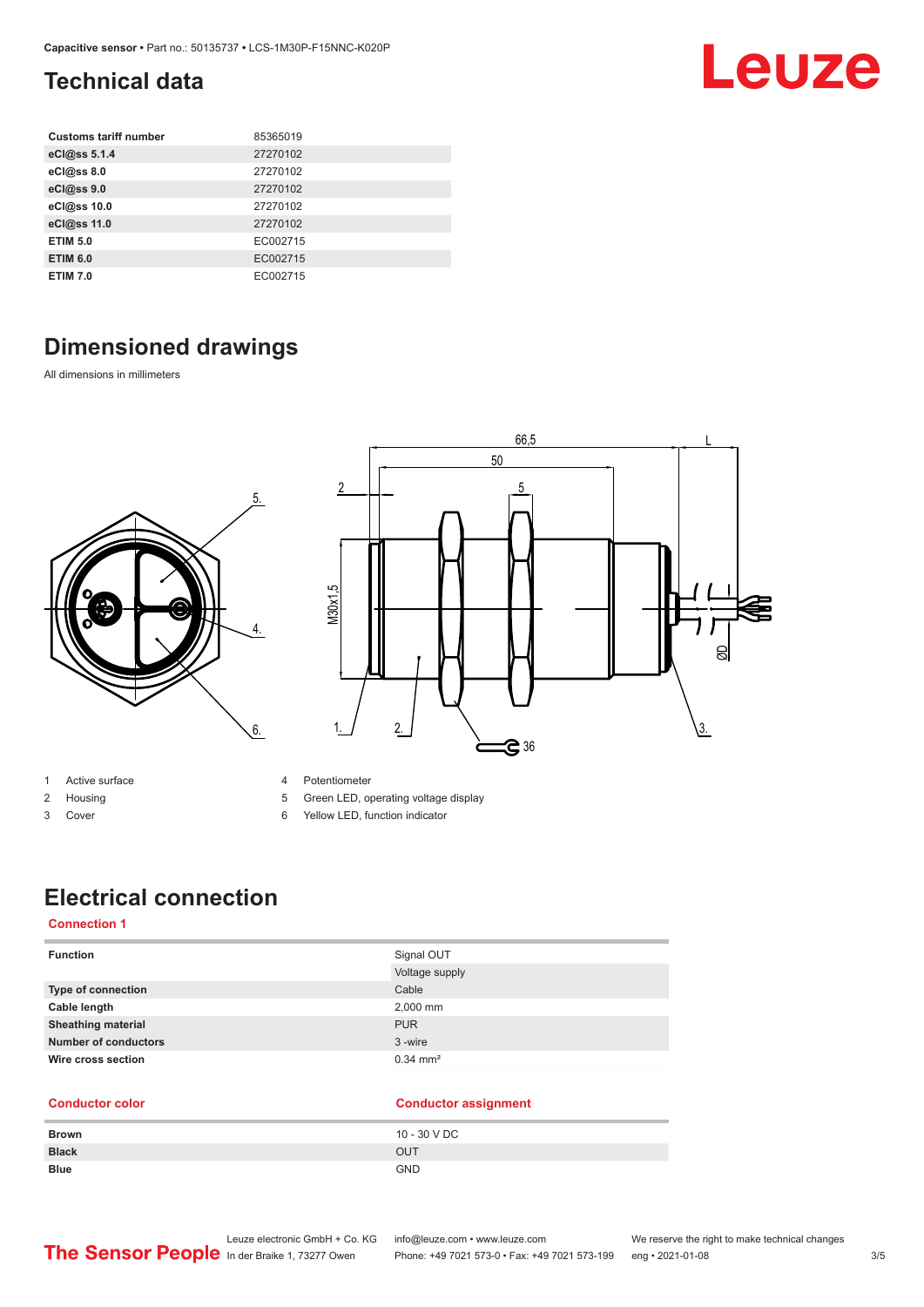### <span id="page-2-0"></span>**Technical data**

| <b>Customs tariff number</b> | 85365019 |
|------------------------------|----------|
| eCl@ss 5.1.4                 | 27270102 |
| eCl@ss 8.0                   | 27270102 |
| eCl@ss 9.0                   | 27270102 |
| eCl@ss 10.0                  | 27270102 |
| eCl@ss 11.0                  | 27270102 |
| <b>ETIM 5.0</b>              | EC002715 |
| <b>ETIM 6.0</b>              | EC002715 |
| <b>ETIM 7.0</b>              | EC002715 |

### **Dimensioned drawings**

All dimensions in millimeters

![](_page_2_Figure_5.jpeg)

![](_page_2_Figure_6.jpeg)

- 1 Active surface
- 2 Housing
- 3 Cover
- 4 Potentiometer
- 5 Green LED, operating voltage display
- 6 Yellow LED, function indicator

### **Electrical connection**

#### **Connection 1**

| <b>Function</b>             | Signal OUT            |
|-----------------------------|-----------------------|
|                             | Voltage supply        |
| Type of connection          | Cable                 |
| Cable length                | 2,000 mm              |
| <b>Sheathing material</b>   | <b>PUR</b>            |
| <b>Number of conductors</b> | 3-wire                |
| Wire cross section          | $0.34 \, \text{mm}^2$ |

#### **Conductor color Conductor assignment Brown** 10 - 30 V DC **Black** OUT **Blue** GND

Leuze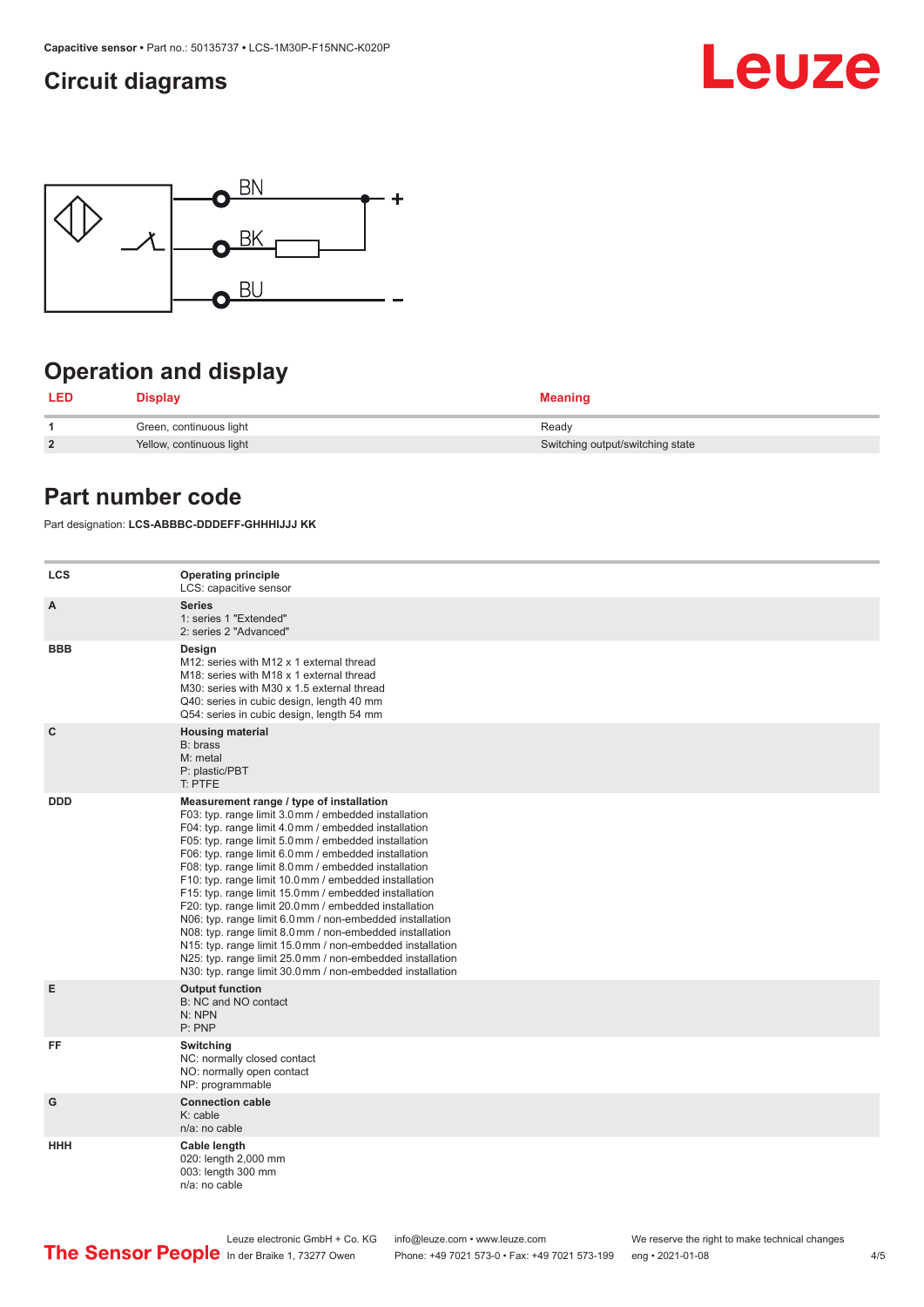### <span id="page-3-0"></span>**Circuit diagrams**

![](_page_3_Picture_2.jpeg)

![](_page_3_Figure_3.jpeg)

### **Operation and display**

| LED            | Display                  | <b>Meaning</b>                   |
|----------------|--------------------------|----------------------------------|
|                | Green, continuous light  | Ready                            |
| $\overline{2}$ | Yellow, continuous light | Switching output/switching state |

### **Part number code**

Part designation: **LCS-ABBBC-DDDEFF-GHHHIJJJ KK**

| <b>LCS</b>   | <b>Operating principle</b><br>LCS: capacitive sensor                                                                                                                                                                                                                                                                                                                                                                                                                                                                                                                                                                                                                                                                                                                                                                       |
|--------------|----------------------------------------------------------------------------------------------------------------------------------------------------------------------------------------------------------------------------------------------------------------------------------------------------------------------------------------------------------------------------------------------------------------------------------------------------------------------------------------------------------------------------------------------------------------------------------------------------------------------------------------------------------------------------------------------------------------------------------------------------------------------------------------------------------------------------|
| A            | <b>Series</b><br>1: series 1 "Extended"<br>2: series 2 "Advanced"                                                                                                                                                                                                                                                                                                                                                                                                                                                                                                                                                                                                                                                                                                                                                          |
| <b>BBB</b>   | Design<br>M12: series with M12 x 1 external thread<br>M18: series with M18 x 1 external thread<br>M30: series with M30 x 1.5 external thread<br>Q40: series in cubic design, length 40 mm<br>Q54: series in cubic design, length 54 mm                                                                                                                                                                                                                                                                                                                                                                                                                                                                                                                                                                                     |
| $\mathbf{C}$ | <b>Housing material</b><br>B: brass<br>M: metal<br>P: plastic/PBT<br>T: PTFE                                                                                                                                                                                                                                                                                                                                                                                                                                                                                                                                                                                                                                                                                                                                               |
| <b>DDD</b>   | Measurement range / type of installation<br>F03: typ. range limit 3.0 mm / embedded installation<br>F04: typ. range limit 4.0 mm / embedded installation<br>F05: typ. range limit 5.0 mm / embedded installation<br>F06: typ. range limit 6.0 mm / embedded installation<br>F08: typ. range limit 8.0 mm / embedded installation<br>F10: typ. range limit 10.0 mm / embedded installation<br>F15: typ. range limit 15.0 mm / embedded installation<br>F20: typ. range limit 20.0 mm / embedded installation<br>N06: typ. range limit 6.0 mm / non-embedded installation<br>N08: typ. range limit 8.0 mm / non-embedded installation<br>N15: typ. range limit 15.0 mm / non-embedded installation<br>N25: typ. range limit 25.0 mm / non-embedded installation<br>N30: typ. range limit 30.0 mm / non-embedded installation |
| Е            | <b>Output function</b><br>B: NC and NO contact<br>N: NPN<br>P: PNP                                                                                                                                                                                                                                                                                                                                                                                                                                                                                                                                                                                                                                                                                                                                                         |
| FF           | Switching<br>NC: normally closed contact<br>NO: normally open contact<br>NP: programmable                                                                                                                                                                                                                                                                                                                                                                                                                                                                                                                                                                                                                                                                                                                                  |
| G            | <b>Connection cable</b><br>$K:$ cable<br>n/a: no cable                                                                                                                                                                                                                                                                                                                                                                                                                                                                                                                                                                                                                                                                                                                                                                     |
| <b>HHH</b>   | Cable length<br>020: length 2,000 mm<br>003: length 300 mm<br>n/a: no cable                                                                                                                                                                                                                                                                                                                                                                                                                                                                                                                                                                                                                                                                                                                                                |